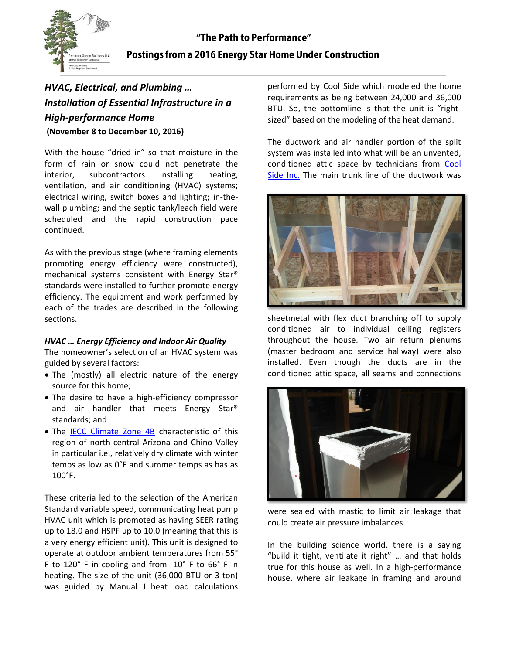

# "The Path to Performance" **Postings from a 2016 Energy Star Home Under Construction**

# *HVAC, Electrical, and Plumbing … Installation of Essential Infrastructure in a High-performance Home* **(November 8 to December 10, 2016)**

With the house "dried in" so that moisture in the form of rain or snow could not penetrate the interior, subcontractors installing heating, ventilation, and air conditioning (HVAC) systems; electrical wiring, switch boxes and lighting; in-thewall plumbing; and the septic tank/leach field were scheduled and the rapid construction pace continued.

As with the previous stage (where framing elements promoting energy efficiency were constructed), mechanical systems consistent with Energy Star® standards were installed to further promote energy efficiency. The equipment and work performed by each of the trades are described in the following sections.

### *HVAC … Energy Efficiency and Indoor Air Quality*

The homeowner's selection of an HVAC system was guided by several factors:

- The (mostly) all electric nature of the energy source for this home;
- The desire to have a high-efficiency compressor and air handler that meets Energy Star® standards; and
- The [IECC Climate Zone 4B](http://www.greenbuildingadvisor.com/blogs/dept/building-science/all-about-climate-zones) characteristic of this region of north-central Arizona and Chino Valley in particular i.e., relatively dry climate with winter temps as low as 0°F and summer temps as has as 100°F.

These criteria led to the selection of the American Standard variable speed, communicating heat pump HVAC unit which is promoted as having SEER rating up to 18.0 and HSPF up to 10.0 (meaning that this is a very energy efficient unit). This unit is designed to operate at outdoor ambient temperatures from 55° F to 120° F in cooling and from -10° F to 66° F in heating. The size of the unit (36,000 BTU or 3 ton) was guided by Manual J heat load calculations

performed by Cool Side which modeled the home requirements as being between 24,000 and 36,000 BTU. So, the bottomline is that the unit is "rightsized" based on the modeling of the heat demand.

The ductwork and air handler portion of the split system was installed into what will be an unvented, conditioned attic space by technicians from [Cool](http://www.azroc.gov/roc/contractorsearch.html)  [Side Inc.](http://www.azroc.gov/roc/contractorsearch.html) The main trunk line of the ductwork was



sheetmetal with flex duct branching off to supply conditioned air to individual ceiling registers throughout the house. Two air return plenums (master bedroom and service hallway) were also installed. Even though the ducts are in the conditioned attic space, all seams and connections



were sealed with mastic to limit air leakage that could create air pressure imbalances.

In the building science world, there is a saying "build it tight, ventilate it right" … and that holds true for this house as well. In a high-performance house, where air leakage in framing and around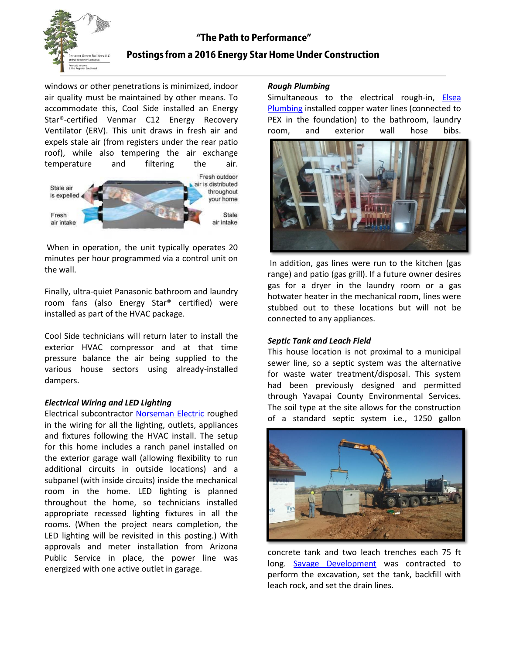

windows or other penetrations is minimized, indoor air quality must be maintained by other means. To accommodate this, Cool Side installed an Energy Star®-certified Venmar C12 Energy Recovery Ventilator (ERV). This unit draws in fresh air and expels stale air (from registers under the rear patio roof), while also tempering the air exchange temperature and filtering the air.



When in operation, the unit typically operates 20 minutes per hour programmed via a control unit on the wall.

Finally, ultra-quiet Panasonic bathroom and laundry room fans (also Energy Star® certified) were installed as part of the HVAC package.

Cool Side technicians will return later to install the exterior HVAC compressor and at that time pressure balance the air being supplied to the various house sectors using already-installed dampers.

## *Electrical Wiring and LED Lighting*

Electrical subcontractor [Norseman Electric](http://www.azroc.gov/roc/contractorsearch.html) roughed in the wiring for all the lighting, outlets, appliances and fixtures following the HVAC install. The setup for this home includes a ranch panel installed on the exterior garage wall (allowing flexibility to run additional circuits in outside locations) and a subpanel (with inside circuits) inside the mechanical room in the home. LED lighting is planned throughout the home, so technicians installed appropriate recessed lighting fixtures in all the rooms. (When the project nears completion, the LED lighting will be revisited in this posting.) With approvals and meter installation from Arizona Public Service in place, the power line was energized with one active outlet in garage.

### *Rough Plumbing*

Simultaneous to the electrical rough-in, Elsea [Plumbing](http://www.elseaplumbing.com/?t=prescott-plumber-elsea-plumbing&p=162689871756b13e694bf2d) installed copper water lines (connected to PEX in the foundation) to the bathroom, laundry room, and exterior wall hose bibs.



In addition, gas lines were run to the kitchen (gas range) and patio (gas grill). If a future owner desires gas for a dryer in the laundry room or a gas hotwater heater in the mechanical room, lines were stubbed out to these locations but will not be connected to any appliances.

### *Septic Tank and Leach Field*

This house location is not proximal to a municipal sewer line, so a septic system was the alternative for waste water treatment/disposal. This system had been previously designed and permitted through Yavapai County Environmental Services. The soil type at the site allows for the construction of a standard septic system i.e., 1250 gallon



concrete tank and two leach trenches each 75 ft long. [Savage Development](http://www.azroc.gov/roc/contractorsearch.html) was contracted to perform the excavation, set the tank, backfill with leach rock, and set the drain lines.